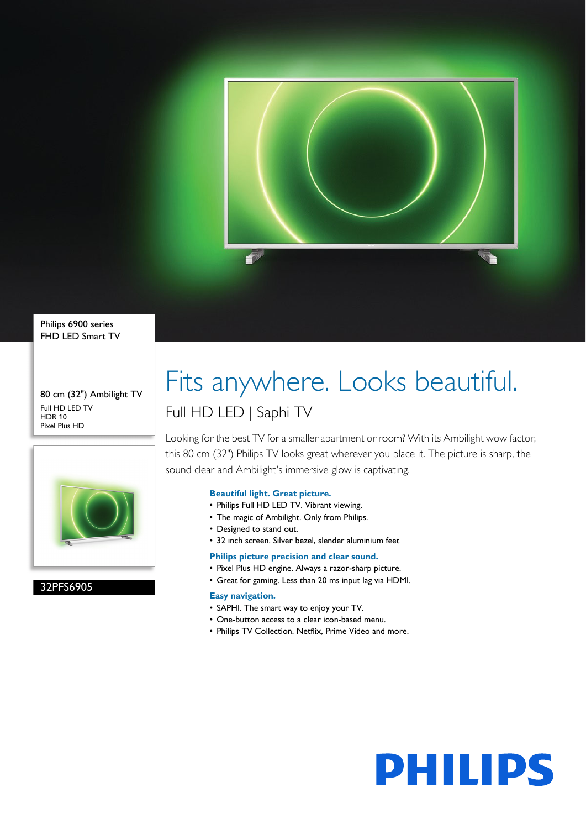

Philips 6900 series FHD LED Smart TV

80 cm (32") Ambilight TV Full HD LED TV HDR 10 Pixel Plus HD



32PFS6905

# Fits anywhere. Looks beautiful. Full HD LED | Saphi TV

Looking for the best TV for a smaller apartment or room? With its Ambilight wow factor, this 80 cm (32") Philips TV looks great wherever you place it. The picture is sharp, the sound clear and Ambilight's immersive glow is captivating.

## **Beautiful light. Great picture.**

- Philips Full HD LED TV. Vibrant viewing.
- The magic of Ambilight. Only from Philips.
- Designed to stand out.
- 32 inch screen. Silver bezel, slender aluminium feet

## **Philips picture precision and clear sound.**

- Pixel Plus HD engine. Always a razor-sharp picture.
- Great for gaming. Less than 20 ms input lag via HDMI.

## **Easy navigation.**

- SAPHI. The smart way to enjoy your TV.
- One-button access to a clear icon-based menu.
- Philips TV Collection. Netflix, Prime Video and more.

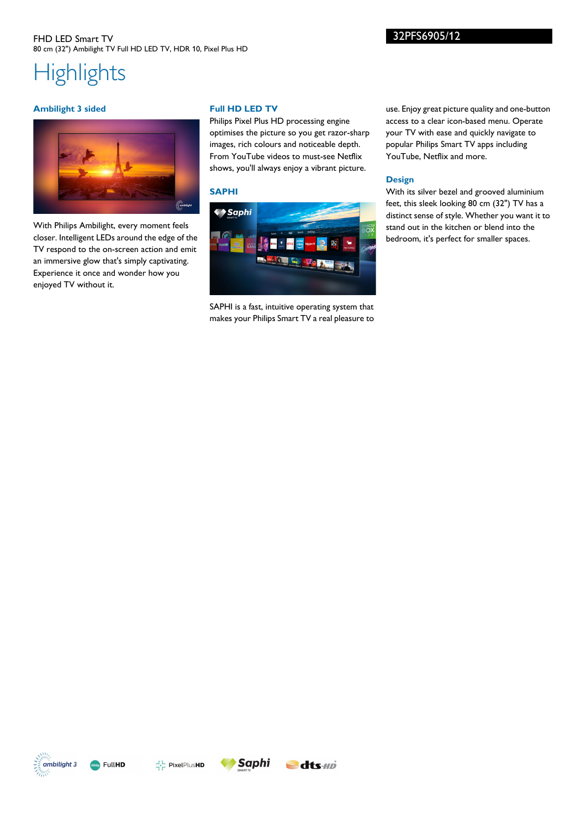# **Highlights**

## **Ambilight 3 sided**



With Philips Ambilight, every moment feels closer. Intelligent LEDs around the edge of the TV respond to the on-screen action and emit an immersive glow that's simply captivating. Experience it once and wonder how you enjoyed TV without it.

## **Full HD LED TV**

Philips Pixel Plus HD processing engine optimises the picture so you get razor-sharp images, rich colours and noticeable depth. From YouTube videos to must-see Netflix shows, you'll always enjoy a vibrant picture.

# **SAPHI**



SAPHI is a fast, intuitive operating system that makes your Philips Smart TV a real pleasure to

use. Enjoy great picture quality and one-button access to a clear icon-based menu. Operate your TV with ease and quickly navigate to popular Philips Smart TV apps including YouTube, Netflix and more.

# **Design**

With its silver bezel and grooved aluminium feet, this sleek looking 80 cm (32") TV has a distinct sense of style. Whether you want it to stand out in the kitchen or blend into the bedroom, it's perfect for smaller spaces.









32PFS6905/12